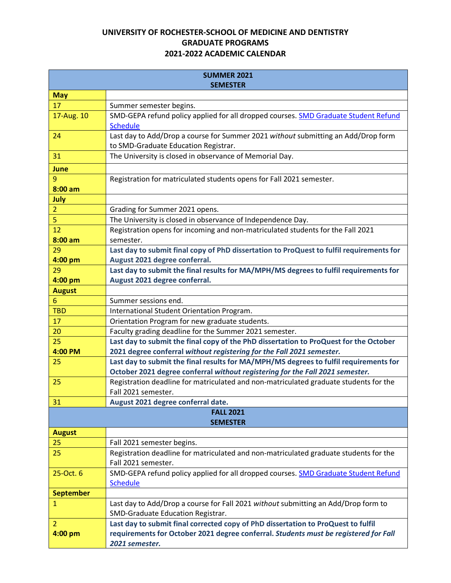## **UNIVERSITY OF ROCHESTER-SCHOOL OF MEDICINE AND DENTISTRY GRADUATE PROGRAMS 2021-2022 ACADEMIC CALENDAR**

| <b>SUMMER 2021</b><br><b>SEMESTER</b> |                                                                                                                        |  |
|---------------------------------------|------------------------------------------------------------------------------------------------------------------------|--|
| <b>May</b>                            |                                                                                                                        |  |
| 17                                    | Summer semester begins.                                                                                                |  |
| 17-Aug. 10                            | SMD-GEPA refund policy applied for all dropped courses. SMD Graduate Student Refund                                    |  |
|                                       | <b>Schedule</b>                                                                                                        |  |
| 24                                    | Last day to Add/Drop a course for Summer 2021 without submitting an Add/Drop form                                      |  |
|                                       | to SMD-Graduate Education Registrar.                                                                                   |  |
| 31                                    | The University is closed in observance of Memorial Day.                                                                |  |
| June                                  |                                                                                                                        |  |
| 9                                     | Registration for matriculated students opens for Fall 2021 semester.                                                   |  |
| $8:00$ am                             |                                                                                                                        |  |
| July                                  |                                                                                                                        |  |
| $\overline{2}$                        | Grading for Summer 2021 opens.                                                                                         |  |
| 5                                     | The University is closed in observance of Independence Day.                                                            |  |
| 12                                    | Registration opens for incoming and non-matriculated students for the Fall 2021                                        |  |
| $8:00$ am                             | semester.                                                                                                              |  |
| 29                                    | Last day to submit final copy of PhD dissertation to ProQuest to fulfil requirements for                               |  |
| 4:00 pm<br>29                         | August 2021 degree conferral.                                                                                          |  |
| 4:00 pm                               | Last day to submit the final results for MA/MPH/MS degrees to fulfil requirements for<br>August 2021 degree conferral. |  |
| <b>August</b>                         |                                                                                                                        |  |
| 6                                     | Summer sessions end.                                                                                                   |  |
| <b>TBD</b>                            | International Student Orientation Program.                                                                             |  |
| 17                                    | Orientation Program for new graduate students.                                                                         |  |
| 20                                    | Faculty grading deadline for the Summer 2021 semester.                                                                 |  |
| 25                                    | Last day to submit the final copy of the PhD dissertation to ProQuest for the October                                  |  |
| 4:00 PM                               | 2021 degree conferral without registering for the Fall 2021 semester.                                                  |  |
| 25                                    | Last day to submit the final results for MA/MPH/MS degrees to fulfil requirements for                                  |  |
|                                       | October 2021 degree conferral without registering for the Fall 2021 semester.                                          |  |
| 25                                    | Registration deadline for matriculated and non-matriculated graduate students for the                                  |  |
|                                       | Fall 2021 semester.                                                                                                    |  |
| 31                                    | August 2021 degree conferral date.                                                                                     |  |
|                                       | <b>FALL 2021</b><br><b>SEMESTER</b>                                                                                    |  |
| <b>August</b>                         |                                                                                                                        |  |
| 25                                    | Fall 2021 semester begins.                                                                                             |  |
| 25                                    | Registration deadline for matriculated and non-matriculated graduate students for the                                  |  |
|                                       | Fall 2021 semester.                                                                                                    |  |
| 25-Oct. 6                             | SMD-GEPA refund policy applied for all dropped courses. SMD Graduate Student Refund                                    |  |
|                                       | <b>Schedule</b>                                                                                                        |  |
| <b>September</b>                      |                                                                                                                        |  |
| $\mathbf{1}$                          | Last day to Add/Drop a course for Fall 2021 without submitting an Add/Drop form to                                     |  |
|                                       | SMD-Graduate Education Registrar.                                                                                      |  |
| $\overline{2}$                        | Last day to submit final corrected copy of PhD dissertation to ProQuest to fulfil                                      |  |
| 4:00 pm                               | requirements for October 2021 degree conferral. Students must be registered for Fall                                   |  |
|                                       | 2021 semester.                                                                                                         |  |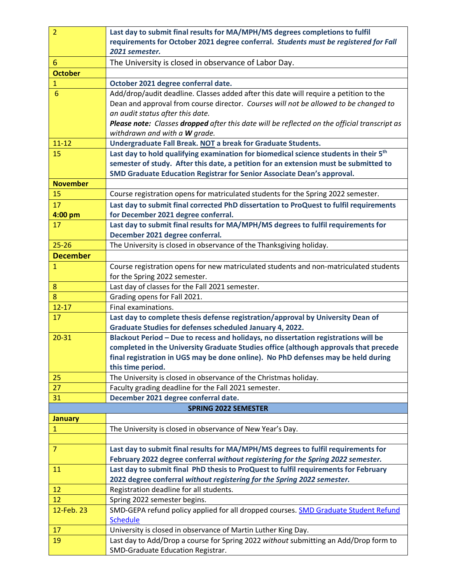| $\overline{2}$                 | Last day to submit final results for MA/MPH/MS degrees completions to fulfil                     |
|--------------------------------|--------------------------------------------------------------------------------------------------|
|                                | requirements for October 2021 degree conferral. Students must be registered for Fall             |
|                                | 2021 semester.                                                                                   |
| $6\phantom{1}6$                | The University is closed in observance of Labor Day.                                             |
| <b>October</b>                 |                                                                                                  |
| 1                              | October 2021 degree conferral date.                                                              |
| $6\phantom{1}6$                | Add/drop/audit deadline. Classes added after this date will require a petition to the            |
|                                | Dean and approval from course director. Courses will not be allowed to be changed to             |
|                                | an audit status after this date.                                                                 |
|                                | Please note: Classes dropped after this date will be reflected on the official transcript as     |
|                                | withdrawn and with a W grade.                                                                    |
| $11 - 12$                      | Undergraduate Fall Break. NOT a break for Graduate Students.                                     |
| 15                             | Last day to hold qualifying examination for biomedical science students in their 5 <sup>th</sup> |
|                                | semester of study. After this date, a petition for an extension must be submitted to             |
|                                | SMD Graduate Education Registrar for Senior Associate Dean's approval.                           |
| <b>November</b>                |                                                                                                  |
| 15                             | Course registration opens for matriculated students for the Spring 2022 semester.                |
| 17                             | Last day to submit final corrected PhD dissertation to ProQuest to fulfil requirements           |
| 4:00 pm                        | for December 2021 degree conferral.                                                              |
| 17                             | Last day to submit final results for MA/MPH/MS degrees to fulfil requirements for                |
|                                | December 2021 degree conferral.                                                                  |
| $25 - 26$                      | The University is closed in observance of the Thanksgiving holiday.                              |
| <b>December</b>                |                                                                                                  |
| $\mathbf{1}$                   | Course registration opens for new matriculated students and non-matriculated students            |
|                                | for the Spring 2022 semester.                                                                    |
| 8                              | Last day of classes for the Fall 2021 semester.                                                  |
| 8                              | Grading opens for Fall 2021.                                                                     |
| $12 - 17$                      | Final examinations.                                                                              |
| 17                             | Last day to complete thesis defense registration/approval by University Dean of                  |
|                                | Graduate Studies for defenses scheduled January 4, 2022.                                         |
| $20 - 31$                      | Blackout Period - Due to recess and holidays, no dissertation registrations will be              |
|                                | completed in the University Graduate Studies office (although approvals that precede             |
|                                | final registration in UGS may be done online). No PhD defenses may be held during                |
|                                | this time period.                                                                                |
| 25                             | The University is closed in observance of the Christmas holiday.                                 |
| 27                             | Faculty grading deadline for the Fall 2021 semester.                                             |
| 31                             | December 2021 degree conferral date.<br><b>SPRING 2022 SEMESTER</b>                              |
|                                |                                                                                                  |
| <b>January</b><br>$\mathbf{1}$ | The University is closed in observance of New Year's Day.                                        |
|                                |                                                                                                  |
| $\overline{7}$                 | Last day to submit final results for MA/MPH/MS degrees to fulfil requirements for                |
|                                | February 2022 degree conferral without registering for the Spring 2022 semester.                 |
| 11                             | Last day to submit final PhD thesis to ProQuest to fulfil requirements for February              |
|                                | 2022 degree conferral without registering for the Spring 2022 semester.                          |
| 12                             | Registration deadline for all students.                                                          |
| 12                             | Spring 2022 semester begins.                                                                     |
| 12-Feb. 23                     | SMD-GEPA refund policy applied for all dropped courses. SMD Graduate Student Refund              |
|                                | <b>Schedule</b>                                                                                  |
| 17                             | University is closed in observance of Martin Luther King Day.                                    |
| 19                             | Last day to Add/Drop a course for Spring 2022 without submitting an Add/Drop form to             |
|                                | SMD-Graduate Education Registrar.                                                                |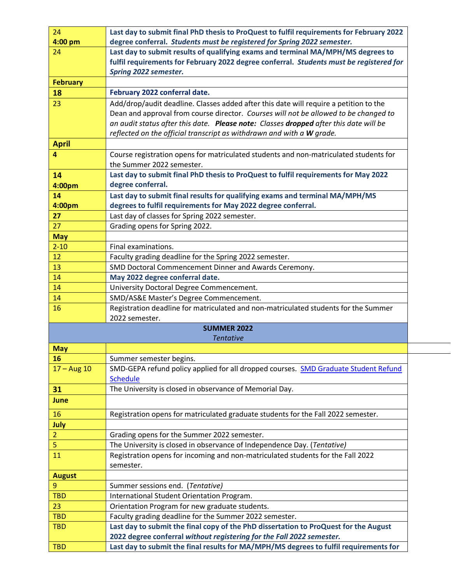| 24                      | Last day to submit final PhD thesis to ProQuest to fulfil requirements for February 2022                                                                    |
|-------------------------|-------------------------------------------------------------------------------------------------------------------------------------------------------------|
| 4:00 pm                 | degree conferral. Students must be registered for Spring 2022 semester.<br>Last day to submit results of qualifying exams and terminal MA/MPH/MS degrees to |
| 24                      | fulfil requirements for February 2022 degree conferral. Students must be registered for<br>Spring 2022 semester.                                            |
| <b>February</b>         |                                                                                                                                                             |
| 18                      | February 2022 conferral date.                                                                                                                               |
| 23                      | Add/drop/audit deadline. Classes added after this date will require a petition to the                                                                       |
|                         | Dean and approval from course director. Courses will not be allowed to be changed to                                                                        |
|                         | an audit status after this date. Please note: Classes dropped after this date will be                                                                       |
|                         | reflected on the official transcript as withdrawn and with a W grade.                                                                                       |
| <b>April</b>            |                                                                                                                                                             |
| 4                       | Course registration opens for matriculated students and non-matriculated students for                                                                       |
|                         | the Summer 2022 semester.                                                                                                                                   |
| 14                      | Last day to submit final PhD thesis to ProQuest to fulfil requirements for May 2022                                                                         |
| 4:00pm                  | degree conferral.                                                                                                                                           |
| 14                      | Last day to submit final results for qualifying exams and terminal MA/MPH/MS                                                                                |
| 4:00pm                  | degrees to fulfil requirements for May 2022 degree conferral.                                                                                               |
| 27                      | Last day of classes for Spring 2022 semester.                                                                                                               |
| 27                      | Grading opens for Spring 2022.                                                                                                                              |
| <b>May</b>              |                                                                                                                                                             |
| $2 - 10$                | Final examinations.                                                                                                                                         |
| 12                      | Faculty grading deadline for the Spring 2022 semester.                                                                                                      |
| 13<br>14                | SMD Doctoral Commencement Dinner and Awards Ceremony.<br>May 2022 degree conferral date.                                                                    |
| 14                      | University Doctoral Degree Commencement.                                                                                                                    |
| 14                      | SMD/AS&E Master's Degree Commencement.                                                                                                                      |
| 16                      | Registration deadline for matriculated and non-matriculated students for the Summer                                                                         |
|                         | 2022 semester.                                                                                                                                              |
|                         | <b>SUMMER 2022</b>                                                                                                                                          |
|                         | <b>Tentative</b>                                                                                                                                            |
| <b>May</b>              |                                                                                                                                                             |
| 16                      | Summer semester begins.                                                                                                                                     |
| $17 - Aug 10$           | SMD-GEPA refund policy applied for all dropped courses. SMD Graduate Student Refund<br>Schedule                                                             |
| 31                      | The University is closed in observance of Memorial Day.                                                                                                     |
| <b>June</b>             |                                                                                                                                                             |
| 16                      | Registration opens for matriculated graduate students for the Fall 2022 semester.                                                                           |
| July                    |                                                                                                                                                             |
| $\overline{\mathbf{c}}$ | Grading opens for the Summer 2022 semester.                                                                                                                 |
| $\overline{5}$          | The University is closed in observance of Independence Day. (Tentative)                                                                                     |
| 11                      | Registration opens for incoming and non-matriculated students for the Fall 2022                                                                             |
|                         | semester.                                                                                                                                                   |
| <b>August</b>           |                                                                                                                                                             |
| $\boldsymbol{9}$        | Summer sessions end. (Tentative)                                                                                                                            |
| <b>TBD</b>              | International Student Orientation Program.                                                                                                                  |
| 23                      | Orientation Program for new graduate students.                                                                                                              |
| <b>TBD</b>              | Faculty grading deadline for the Summer 2022 semester.                                                                                                      |
| <b>TBD</b>              | Last day to submit the final copy of the PhD dissertation to ProQuest for the August                                                                        |
|                         | 2022 degree conferral without registering for the Fall 2022 semester.                                                                                       |
| <b>TBD</b>              | Last day to submit the final results for MA/MPH/MS degrees to fulfil requirements for                                                                       |